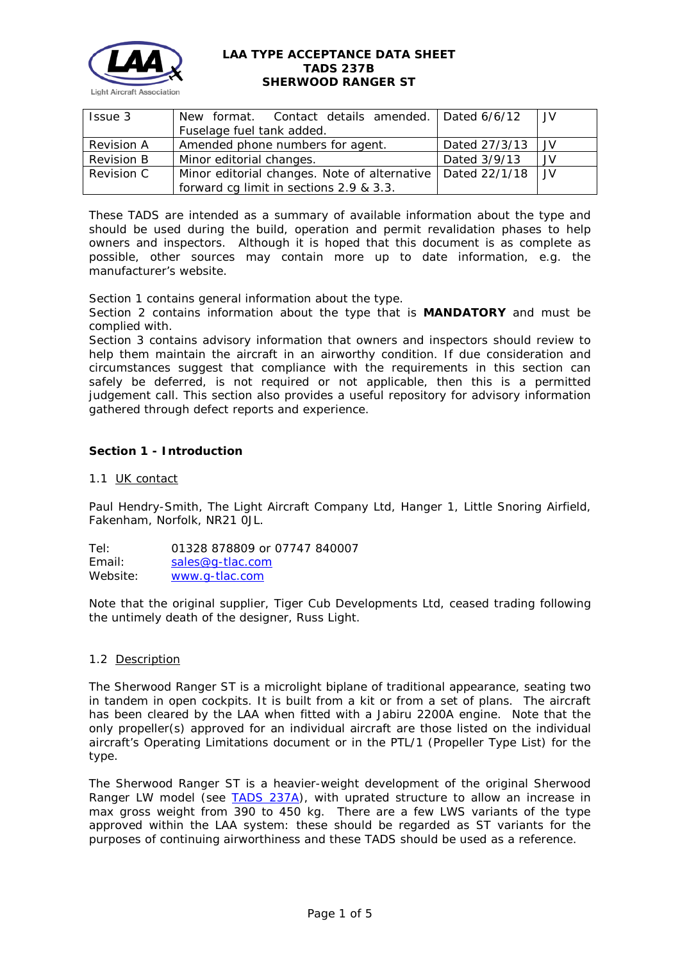

| Issue 3           | New format. Contact details amended.   Dated 6/6/12          |               | JV  |
|-------------------|--------------------------------------------------------------|---------------|-----|
|                   | Fuselage fuel tank added.                                    |               |     |
| <b>Revision A</b> | Amended phone numbers for agent.                             | Dated 27/3/13 | .JV |
| Revision B        | Minor editorial changes.                                     | Dated 3/9/13  | JV. |
| Revision C        | Minor editorial changes. Note of alternative   Dated 22/1/18 |               | .JV |
|                   | forward cg limit in sections 2.9 & 3.3.                      |               |     |

These TADS are intended as a summary of available information about the type and should be used during the build, operation and permit revalidation phases to help owners and inspectors. Although it is hoped that this document is as complete as possible, other sources may contain more up to date information, e.g. the manufacturer's website.

Section 1 contains general information about the type.

Section 2 contains information about the type that is **MANDATORY** and must be complied with.

Section 3 contains advisory information that owners and inspectors should review to help them maintain the aircraft in an airworthy condition. If due consideration and circumstances suggest that compliance with the requirements in this section can safely be deferred, is not required or not applicable, then this is a permitted judgement call. This section also provides a useful repository for advisory information gathered through defect reports and experience.

# **Section 1 - Introduction**

# 1.1 UK contact

Paul Hendry-Smith, The Light Aircraft Company Ltd, Hanger 1, Little Snoring Airfield, Fakenham, Norfolk, NR21 0JL.

Tel: 01328 878809 or 07747 840007 Email: [sales@g-tlac.com](mailto:sales@g-tlac.com) Website: [www.g-tlac.com](http://www.g-tlac.com/)

Note that the original supplier, Tiger Cub Developments Ltd, ceased trading following the untimely death of the designer, Russ Light.

# 1.2 Description

The Sherwood Ranger ST is a microlight biplane of traditional appearance, seating two in tandem in open cockpits. It is built from a kit or from a set of plans. The aircraft has been cleared by the LAA when fitted with a Jabiru 2200A engine. Note that the only propeller(s) approved for an individual aircraft are those listed on the individual aircraft's Operating Limitations document or in the PTL/1 (Propeller Type List) for the type.

The Sherwood Ranger ST is a heavier-weight development of the original Sherwood Ranger LW model (see [TADS 237A\)](http://www.lightaircraftassociation.co.uk/engineering/TADs/237A%20SHERWOOD%20RANGER%20LW.pdf), with uprated structure to allow an increase in max gross weight from 390 to 450 kg. There are a few LWS variants of the type approved within the LAA system: these should be regarded as ST variants for the purposes of continuing airworthiness and these TADS should be used as a reference.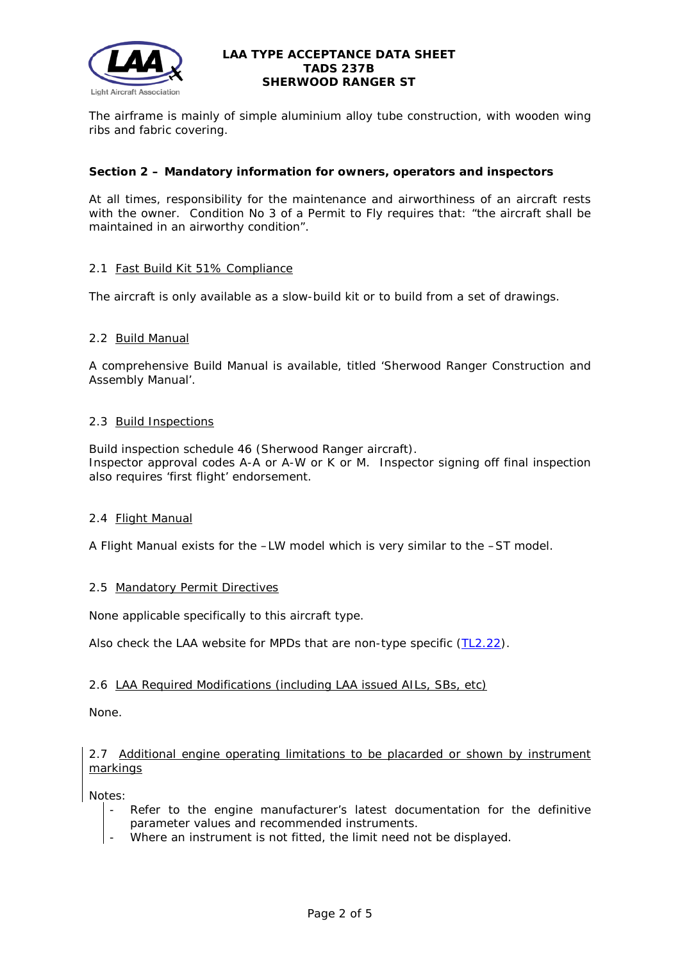

The airframe is mainly of simple aluminium alloy tube construction, with wooden wing ribs and fabric covering.

# **Section 2 – Mandatory information for owners, operators and inspectors**

At all times, responsibility for the maintenance and airworthiness of an aircraft rests with the owner. Condition No 3 of a Permit to Fly requires that: *"the aircraft shall be maintained in an airworthy condition".* 

# 2.1 Fast Build Kit 51% Compliance

The aircraft is only available as a slow-build kit or to build from a set of drawings.

# 2.2 Build Manual

A comprehensive Build Manual is available, titled 'Sherwood Ranger Construction and Assembly Manual'.

### 2.3 Build Inspections

Build inspection schedule 46 (Sherwood Ranger aircraft). Inspector approval codes A-A or A-W or K or M. Inspector signing off final inspection also requires 'first flight' endorsement.

# 2.4 Flight Manual

A Flight Manual exists for the –LW model which is very similar to the –ST model.

# 2.5 Mandatory Permit Directives

None applicable specifically to this aircraft type.

Also check the LAA website for MPDs that are non-type specific [\(TL2.22\)](http://www.lightaircraftassociation.co.uk/engineering/TechnicalLeaflets/Operating%20An%20Aircraft/TL%202.22%20non-type%20specific%20MPDs.pdf).

# 2.6 LAA Required Modifications (including LAA issued AILs, SBs, etc)

None.

# 2.7 Additional engine operating limitations to be placarded or shown by instrument markings

Notes:

- Refer to the engine manufacturer's latest documentation for the definitive parameter values and recommended instruments.
- Where an instrument is not fitted, the limit need not be displayed.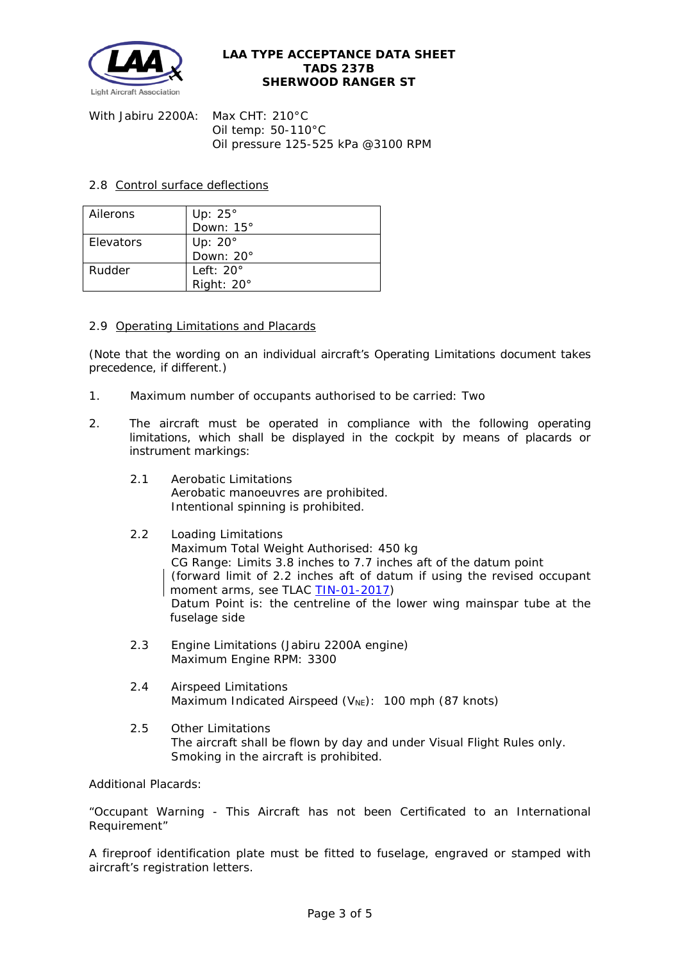

With Jabiru 2200A: Max CHT: 210°C Oil temp: 50-110°C Oil pressure 125-525 kPa @3100 RPM

# 2.8 Control surface deflections

| Ailerons  | Up: $25^\circ$    |  |  |
|-----------|-------------------|--|--|
|           | Down: 15°         |  |  |
| Elevators | Up: $20^\circ$    |  |  |
|           | Down: 20°         |  |  |
| Rudder    | Left: $20^\circ$  |  |  |
|           | Right: $20^\circ$ |  |  |

# 2.9 Operating Limitations and Placards

(Note that the wording on an individual aircraft's Operating Limitations document takes precedence, if different.)

- 1. Maximum number of occupants authorised to be carried: Two
- 2. The aircraft must be operated in compliance with the following operating limitations, which shall be displayed in the cockpit by means of placards or instrument markings:
	- 2.1 Aerobatic Limitations Aerobatic manoeuvres are prohibited. Intentional spinning is prohibited.

# 2.2 Loading Limitations Maximum Total Weight Authorised: 450 kg CG Range: Limits 3.8 inches to 7.7 inches aft of the datum point (forward limit of 2.2 inches aft of datum if using the revised occupant moment arms, see TLAC [TIN-01-2017\)](http://www.lightaircraftassociation.co.uk/engineering/TADs/237B/TIN012017.pdf) Datum Point is: the centreline of the lower wing mainspar tube at the fuselage side

- 2.3 Engine Limitations (Jabiru 2200A engine) Maximum Engine RPM: 3300
- 2.4 Airspeed Limitations Maximum Indicated Airspeed ( $V_{NE}$ ): 100 mph (87 knots)
- 2.5 Other Limitations The aircraft shall be flown by day and under Visual Flight Rules only. Smoking in the aircraft is prohibited.

Additional Placards:

"Occupant Warning - This Aircraft has not been Certificated to an International Requirement"

A fireproof identification plate must be fitted to fuselage, engraved or stamped with aircraft's registration letters.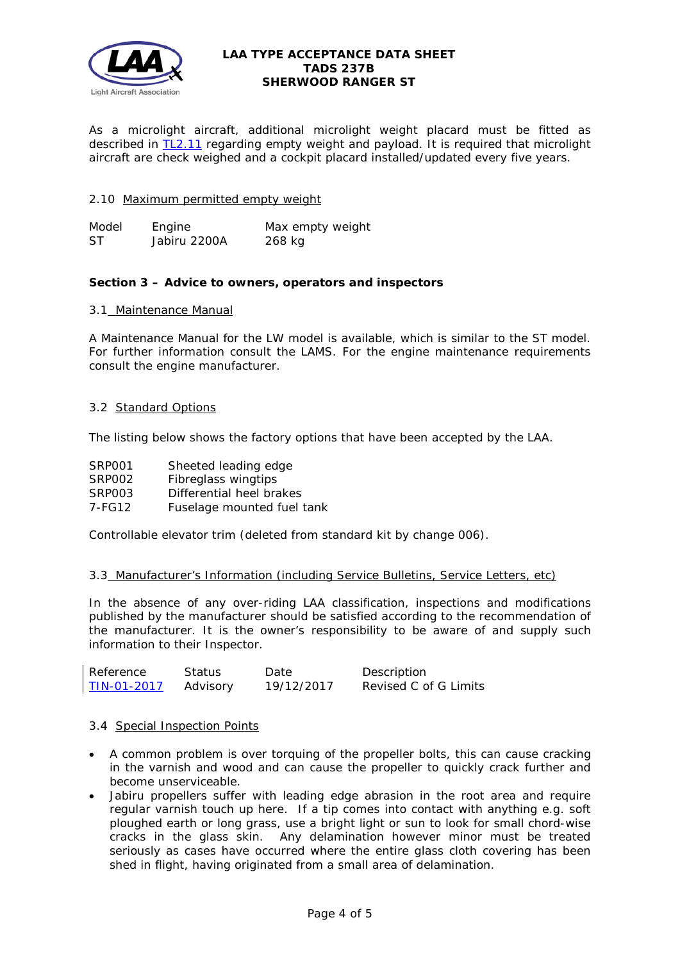

As a microlight aircraft, additional microlight weight placard must be fitted as described in [TL2.11](http://mar2013.lightaircraftassociation.co.uk/engineering/TechnicalLeaflets/Operating%20An%20Aircraft/TL%202.11%20Placards%20and%20Labels.pdf) regarding empty weight and payload. It is required that microlight aircraft are check weighed and a cockpit placard installed/updated every five years.

# 2.10 Maximum permitted empty weight

*Model Engine Max empty weight* ST Jabiru 2200A 268 kg

### **Section 3 – Advice to owners, operators and inspectors**

#### 3.1 Maintenance Manual

A Maintenance Manual for the LW model is available, which is similar to the ST model. For further information consult the LAMS. For the engine maintenance requirements consult the engine manufacturer.

# 3.2 Standard Options

The listing below shows the factory options that have been accepted by the LAA.

- SRP001 Sheeted leading edge
- SRP002 Fibreglass wingtips

SRP003 Differential heel brakes

7-FG12 Fuselage mounted fuel tank

Controllable elevator trim (deleted from standard kit by change 006).

#### 3.3 Manufacturer's Information (including Service Bulletins, Service Letters, etc)

In the absence of any over-riding LAA classification, inspections and modifications published by the manufacturer should be satisfied according to the recommendation of the manufacturer. It is the owner's responsibility to be aware of and supply such information to their Inspector.

| Reference   | Status   | Date       | Description           |
|-------------|----------|------------|-----------------------|
| TIN-01-2017 | Advisory | 19/12/2017 | Revised C of G Limits |

#### 3.4 Special Inspection Points

- A common problem is over torquing of the propeller bolts, this can cause cracking in the varnish and wood and can cause the propeller to quickly crack further and become unserviceable.
- Jabiru propellers suffer with leading edge abrasion in the root area and require regular varnish touch up here. If a tip comes into contact with anything e.g. soft ploughed earth or long grass, use a bright light or sun to look for small chord-wise cracks in the glass skin. Any delamination however minor must be treated seriously as cases have occurred where the entire glass cloth covering has been shed in flight, having originated from a small area of delamination.